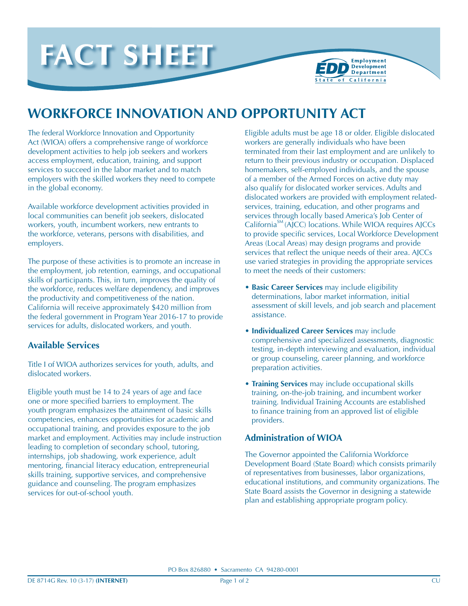



# **WORKFORCE INNOVATION AND OPPORTUNITY ACT**

The federal Workforce Innovation and Opportunity Act (WIOA) offers a comprehensive range of workforce development activities to help job seekers and workers access employment, education, training, and support services to succeed in the labor market and to match employers with the skilled workers they need to compete in the global economy.

Available workforce development activities provided in local communities can benefit job seekers, dislocated workers, youth, incumbent workers, new entrants to the workforce, veterans, persons with disabilities, and employers.

The purpose of these activities is to promote an increase in the employment, job retention, earnings, and occupational skills of participants. This, in turn, improves the quality of the workforce, reduces welfare dependency, and improves the productivity and competitiveness of the nation. California will receive approximately \$420 million from the federal government in Program Year 2016-17 to provide services for adults, dislocated workers, and youth.

## **Available Services**

Title I of WIOA authorizes services for youth, adults, and dislocated workers.

Eligible youth must be 14 to 24 years of age and face one or more specified barriers to employment. The youth program emphasizes the attainment of basic skills competencies, enhances opportunities for academic and occupational training, and provides exposure to the job market and employment. Activities may include instruction leading to completion of secondary school, tutoring, internships, job shadowing, work experience, adult mentoring, financial literacy education, entrepreneurial skills training, supportive services, and comprehensive guidance and counseling. The program emphasizes services for out-of-school youth.

Eligible adults must be age 18 or older. Eligible dislocated workers are generally individuals who have been terminated from their last employment and are unlikely to return to their previous industry or occupation. Displaced homemakers, self-employed individuals, and the spouse of a member of the Armed Forces on active duty may also qualify for dislocated worker services. Adults and dislocated workers are provided with employment relatedservices, training, education, and other programs and services through locally based America's Job Center of California<sup>SM</sup> (AJCC) locations. While WIOA requires AJCCs to provide specific services, Local Workforce Development Areas (Local Areas) may design programs and provide services that reflect the unique needs of their area. AJCCs use varied strategies in providing the appropriate services to meet the needs of their customers:

- **• Basic Career Services** may include eligibility determinations, labor market information, initial assessment of skill levels, and job search and placement assistance.
- **• Individualized Career Services** may include comprehensive and specialized assessments, diagnostic testing, in-depth interviewing and evaluation, individual or group counseling, career planning, and workforce preparation activities.
- **• Training Services** may include occupational skills training, on-the-job training, and incumbent worker training. Individual Training Accounts are established to finance training from an approved list of eligible providers.

## **Administration of WIOA**

The Governor appointed the California Workforce Development Board (State Board) which consists primarily of representatives from businesses, labor organizations, educational institutions, and community organizations. The State Board assists the Governor in designing a statewide plan and establishing appropriate program policy.